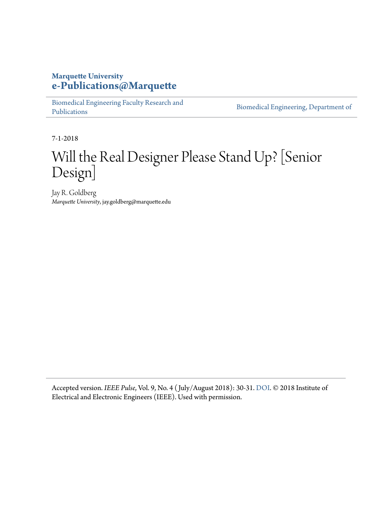#### **Marquette University [e-Publications@Marquette](https://epublications.marquette.edu/)**

[Biomedical Engineering Faculty Research and](https://epublications.marquette.edu/bioengin_fac) [Publications](https://epublications.marquette.edu/bioengin_fac)

[Biomedical Engineering, Department of](https://epublications.marquette.edu/bioengin)

7-1-2018

## Will the Real Designer Please Stand Up? [Senior Design]

Jay R. Goldberg *Marquette University*, jay.goldberg@marquette.edu

Accepted version. *IEEE Pulse*, Vol. 9, No. 4 ( July/August 2018): 30-31. [DOI.](https://doi.org/10.1109/MPUL.2018.2833069) © 2018 Institute of Electrical and Electronic Engineers (IEEE). Used with permission.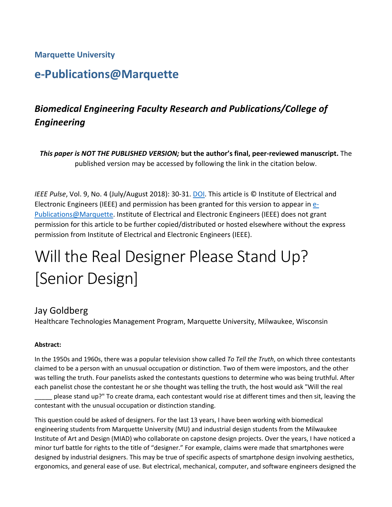#### **Marquette University**

## **e-Publications@Marquette**

## *Biomedical Engineering Faculty Research and Publications/College of Engineering*

*This paper is NOT THE PUBLISHED VERSION;* **but the author's final, peer-reviewed manuscript.** The published version may be accessed by following the link in the citation below.

*IEEE Pulse*, Vol. 9, No. 4 (July/August 2018): 30-31. [DOI.](https://doi.org/10.1109/MPUL.2018.2833069) This article is © Institute of Electrical and Electronic Engineers (IEEE) and permission has been granted for this version to appear i[n e-](http://epublications.marquette.edu/)[Publications@Marquette.](http://epublications.marquette.edu/) Institute of Electrical and Electronic Engineers (IEEE) does not grant permission for this article to be further copied/distributed or hosted elsewhere without the express permission from Institute of Electrical and Electronic Engineers (IEEE).

# Will the Real Designer Please Stand Up? [Senior Design]

#### Jay Goldberg

Healthcare Technologies Management Program, Marquette University, Milwaukee, Wisconsin

#### **Abstract:**

In the 1950s and 1960s, there was a popular television show called *To Tell the Truth*, on which three contestants claimed to be a person with an unusual occupation or distinction. Two of them were impostors, and the other was telling the truth. Four panelists asked the contestants questions to determine who was being truthful. After each panelist chose the contestant he or she thought was telling the truth, the host would ask "Will the real

\_\_\_\_\_ please stand up?" To create drama, each contestant would rise at different times and then sit, leaving the contestant with the unusual occupation or distinction standing.

This question could be asked of designers. For the last 13 years, I have been working with biomedical engineering students from Marquette University (MU) and industrial design students from the Milwaukee Institute of Art and Design (MIAD) who collaborate on capstone design projects. Over the years, I have noticed a minor turf battle for rights to the title of "designer." For example, claims were made that smartphones were designed by industrial designers. This may be true of specific aspects of smartphone design involving aesthetics, ergonomics, and general ease of use. But electrical, mechanical, computer, and software engineers designed the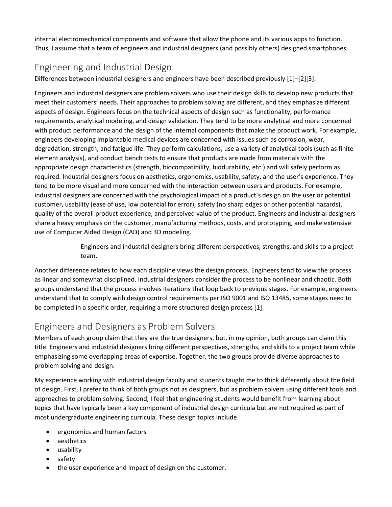internal electromechanical components and software that allow the phone and its various apps to function. Thus, I assume that a team of engineers and industrial designers (and possibly others) designed smartphones.

### Engineering and Industrial Design

Differences between industrial designers and engineers have been described previously [1]–[2][3].

Engineers and industrial designers are problem solvers who use their design skills to develop new products that meet their customers' needs. Their approaches to problem solving are different, and they emphasize different aspects of design. Engineers focus on the technical aspects of design such as functionality, performance requirements, analytical modeling, and design validation. They tend to be more analytical and more concerned with product performance and the design of the internal components that make the product work. For example, engineers developing implantable medical devices are concerned with issues such as corrosion, wear, degradation, strength, and fatigue life. They perform calculations, use a variety of analytical tools (such as finite element analysis), and conduct bench tests to ensure that products are made from materials with the appropriate design characteristics (strength, biocompatibility, biodurability, etc.) and will safely perform as required. Industrial designers focus on aesthetics, ergonomics, usability, safety, and the user's experience. They tend to be more visual and more concerned with the interaction between users and products. For example, industrial designers are concerned with the psychological impact of a product's design on the user or potential customer, usability (ease of use, low potential for error), safety (no sharp edges or other potential hazards), quality of the overall product experience, and perceived value of the product. Engineers and industrial designers share a heavy emphasis on the customer, manufacturing methods, costs, and prototyping, and make extensive use of Computer Aided Design (CAD) and 3D modeling.

> Engineers and industrial designers bring different perspectives, strengths, and skills to a project team.

Another difference relates to how each discipline views the design process. Engineers tend to view the process as linear and somewhat disciplined. Industrial designers consider the process to be nonlinear and chaotic. Both groups understand that the process involves iterations that loop back to previous stages. For example, engineers understand that to comply with design control requirements per ISO 9001 and ISO 13485, some stages need to be completed in a specific order, requiring a more structured design process [1].

## Engineers and Designers as Problem Solvers

Members of each group claim that they are the true designers, but, in my opinion, both groups can claim this title. Engineers and industrial designers bring different perspectives, strengths, and skills to a project team while emphasizing some overlapping areas of expertise. Together, the two groups provide diverse approaches to problem solving and design.

My experience working with industrial design faculty and students taught me to think differently about the field of design. First, I prefer to think of both groups not as designers, but as problem solvers using different tools and approaches to problem solving. Second, I feel that engineering students would benefit from learning about topics that have typically been a key component of industrial design curricula but are not required as part of most undergraduate engineering curricula. These design topics include

- ergonomics and human factors
- aesthetics
- usability
- safety
- the user experience and impact of design on the customer.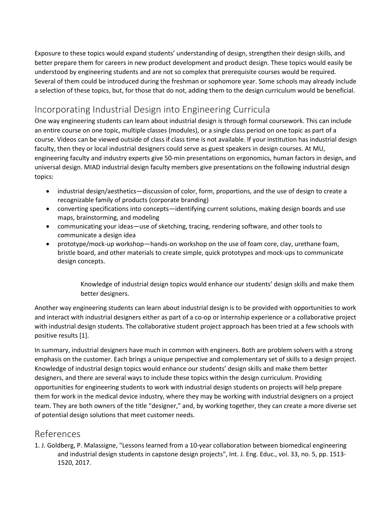Exposure to these topics would expand students' understanding of design, strengthen their design skills, and better prepare them for careers in new product development and product design. These topics would easily be understood by engineering students and are not so complex that prerequisite courses would be required. Several of them could be introduced during the freshman or sophomore year. Some schools may already include a selection of these topics, but, for those that do not, adding them to the design curriculum would be beneficial.

## Incorporating Industrial Design into Engineering Curricula

One way engineering students can learn about industrial design is through formal coursework. This can include an entire course on one topic, multiple classes (modules), or a single class period on one topic as part of a course. Videos can be viewed outside of class if class time is not available. If your institution has industrial design faculty, then they or local industrial designers could serve as guest speakers in design courses. At MU, engineering faculty and industry experts give 50-min presentations on ergonomics, human factors in design, and universal design. MIAD industrial design faculty members give presentations on the following industrial design topics:

- industrial design/aesthetics—discussion of color, form, proportions, and the use of design to create a recognizable family of products (corporate branding)
- converting specifications into concepts—identifying current solutions, making design boards and use maps, brainstorming, and modeling
- communicating your ideas—use of sketching, tracing, rendering software, and other tools to communicate a design idea
- prototype/mock-up workshop—hands-on workshop on the use of foam core, clay, urethane foam, bristle board, and other materials to create simple, quick prototypes and mock-ups to communicate design concepts.

Knowledge of industrial design topics would enhance our students' design skills and make them better designers.

Another way engineering students can learn about industrial design is to be provided with opportunities to work and interact with industrial designers either as part of a co-op or internship experience or a collaborative project with industrial design students. The collaborative student project approach has been tried at a few schools with positive results [1].

In summary, industrial designers have much in common with engineers. Both are problem solvers with a strong emphasis on the customer. Each brings a unique perspective and complementary set of skills to a design project. Knowledge of industrial design topics would enhance our students' design skills and make them better designers, and there are several ways to include these topics within the design curriculum. Providing opportunities for engineering students to work with industrial design students on projects will help prepare them for work in the medical device industry, where they may be working with industrial designers on a project team. They are both owners of the title "designer," and, by working together, they can create a more diverse set of potential design solutions that meet customer needs.

#### References

1. J. Goldberg, P. Malassigne, "Lessons learned from a 10-year collaboration between biomedical engineering and industrial design students in capstone design projects", Int. J. Eng. Educ., vol. 33, no. 5, pp. 1513- 1520, 2017.